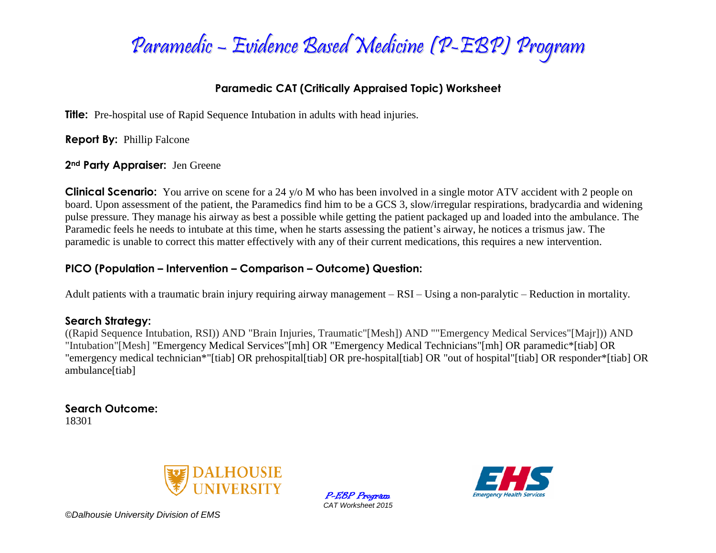

# **Paramedic CAT (Critically Appraised Topic) Worksheet**

**Title:** Pre-hospital use of Rapid Sequence Intubation in adults with head injuries.

**Report By:** Phillip Falcone

#### **2nd Party Appraiser:** Jen Greene

**Clinical Scenario:** You arrive on scene for a 24 y/o M who has been involved in a single motor ATV accident with 2 people on board. Upon assessment of the patient, the Paramedics find him to be a GCS 3, slow/irregular respirations, bradycardia and widening pulse pressure. They manage his airway as best a possible while getting the patient packaged up and loaded into the ambulance. The Paramedic feels he needs to intubate at this time, when he starts assessing the patient's airway, he notices a trismus jaw. The paramedic is unable to correct this matter effectively with any of their current medications, this requires a new intervention.

# **PICO (Population – Intervention – Comparison – Outcome) Question:**

Adult patients with a traumatic brain injury requiring airway management – RSI – Using a non-paralytic – Reduction in mortality.

# **Search Strategy:**

((Rapid Sequence Intubation, RSI)) AND "Brain Injuries, Traumatic"[Mesh]) AND ""Emergency Medical Services"[Majr])) AND "Intubation"[Mesh] "Emergency Medical Services"[mh] OR "Emergency Medical Technicians"[mh] OR paramedic\*[tiab] OR "emergency medical technician\*"[tiab] OR prehospital[tiab] OR pre-hospital[tiab] OR "out of hospital"[tiab] OR responder\*[tiab] OR ambulance[tiab]

**Search Outcome:** 18301



P-EBP Program *CAT Worksheet 2015*



*©Dalhousie University Division of EMS*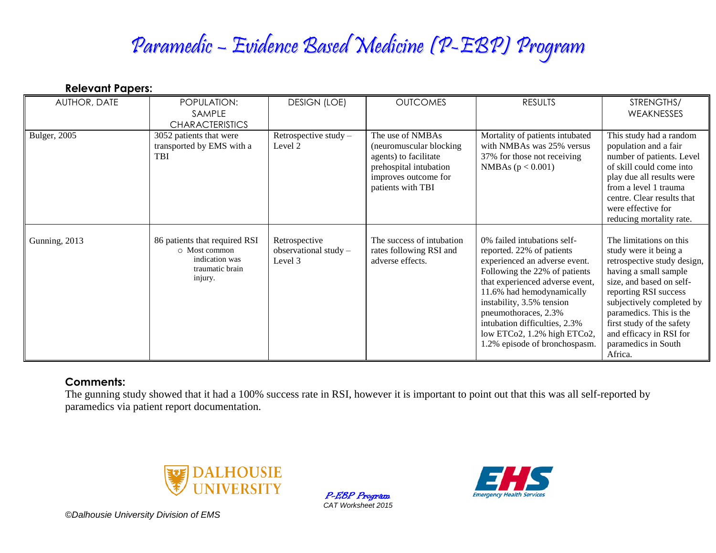# Paramedic – Evidence Based Medicine (P-EBP) Program

| <br>AUTHOR, DATE | POPULATION:<br>SAMPLE                                                                          | <b>DESIGN (LOE)</b>                                 | <b>OUTCOMES</b>                                                                                                                              | <b>RESULTS</b>                                                                                                                                                                                                                                                                                                                                   | STRENGTHS/<br>WEAKNESSES                                                                                                                                                                                                                                                                                        |
|------------------|------------------------------------------------------------------------------------------------|-----------------------------------------------------|----------------------------------------------------------------------------------------------------------------------------------------------|--------------------------------------------------------------------------------------------------------------------------------------------------------------------------------------------------------------------------------------------------------------------------------------------------------------------------------------------------|-----------------------------------------------------------------------------------------------------------------------------------------------------------------------------------------------------------------------------------------------------------------------------------------------------------------|
|                  | <b>CHARACTERISTICS</b>                                                                         |                                                     |                                                                                                                                              |                                                                                                                                                                                                                                                                                                                                                  |                                                                                                                                                                                                                                                                                                                 |
| Bulger, 2005     | 3052 patients that were<br>transported by EMS with a<br>TBI                                    | Retrospective study -<br>Level 2                    | The use of NMBAs<br>(neuromuscular blocking)<br>agents) to facilitate<br>prehospital intubation<br>improves outcome for<br>patients with TBI | Mortality of patients intubated<br>with NMBAs was 25% versus<br>37% for those not receiving<br>NMBAs $(p < 0.001)$                                                                                                                                                                                                                               | This study had a random<br>population and a fair<br>number of patients. Level<br>of skill could come into<br>play due all results were<br>from a level 1 trauma<br>centre. Clear results that<br>were effective for<br>reducing mortality rate.                                                                 |
| Gunning, 2013    | 86 patients that required RSI<br>O Most common<br>indication was<br>traumatic brain<br>injury. | Retrospective<br>observational study $-$<br>Level 3 | The success of intubation<br>rates following RSI and<br>adverse effects.                                                                     | 0% failed intubations self-<br>reported. 22% of patients<br>experienced an adverse event.<br>Following the 22% of patients<br>that experienced adverse event,<br>11.6% had hemodynamically<br>instability, 3.5% tension<br>pneumothoraces, 2.3%<br>intubation difficulties, 2.3%<br>low ETCo2, 1.2% high ETCo2,<br>1.2% episode of bronchospasm. | The limitations on this<br>study were it being a<br>retrospective study design,<br>having a small sample<br>size, and based on self-<br>reporting RSI success<br>subjectively completed by<br>paramedics. This is the<br>first study of the safety<br>and efficacy in RSI for<br>paramedics in South<br>Africa. |

#### **Comments:**

**Relevant Papers:**

The gunning study showed that it had a 100% success rate in RSI, however it is important to point out that this was all self-reported by paramedics via patient report documentation.



P-EBP Program *CAT Worksheet 2015*



*©Dalhousie University Division of EMS*